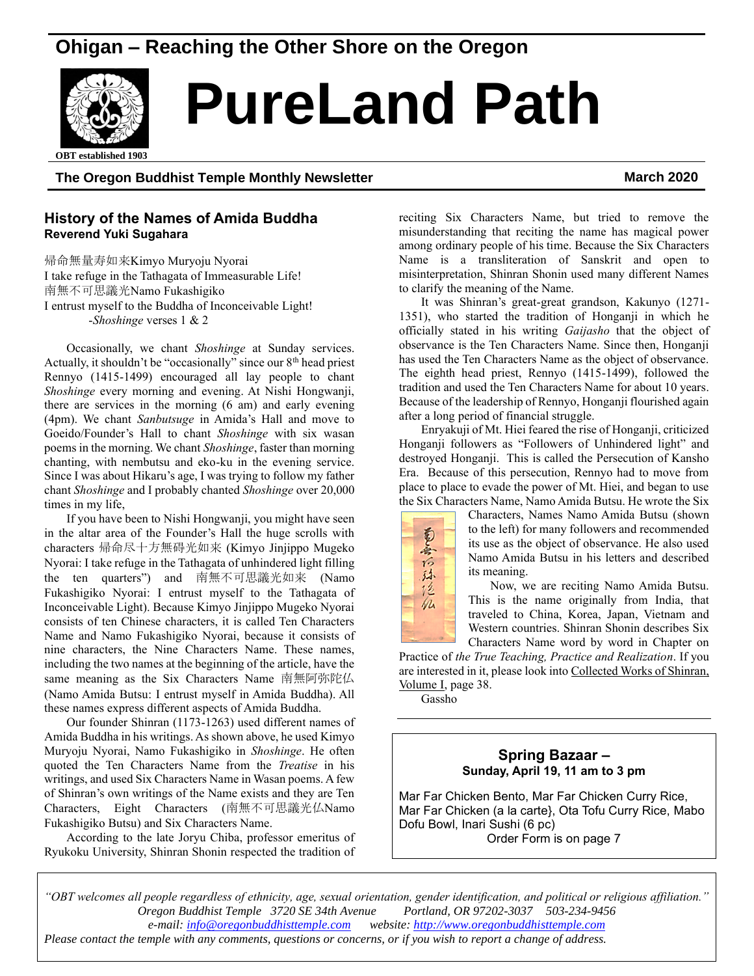# **Ohigan – Reaching the Other Shore on the Oregon**



# **PureLand Path**

## **The Oregon Buddhist Temple Monthly Newsletter March 2020**

### **History of the Names of Amida Buddha Reverend Yuki Sugahara**

帰命無量寿如来Kimyo Muryoju Nyorai I take refuge in the Tathagata of Immeasurable Life! 南無不可思議光Namo Fukashigiko I entrust myself to the Buddha of Inconceivable Light! -*Shoshinge* verses 1 & 2

Occasionally, we chant *Shoshinge* at Sunday services. Actually, it shouldn't be "occasionally" since our  $8<sup>th</sup>$  head priest Rennyo (1415-1499) encouraged all lay people to chant *Shoshinge* every morning and evening. At Nishi Hongwanji, there are services in the morning (6 am) and early evening (4pm). We chant *Sanbutsuge* in Amida's Hall and move to Goeido/Founder's Hall to chant *Shoshinge* with six wasan poems in the morning. We chant *Shoshinge*, faster than morning chanting, with nembutsu and eko-ku in the evening service. Since I was about Hikaru's age, I was trying to follow my father chant *Shoshinge* and I probably chanted *Shoshinge* over 20,000 times in my life,

If you have been to Nishi Hongwanji, you might have seen in the altar area of the Founder's Hall the huge scrolls with characters 帰命尽十方無碍光如来 (Kimyo Jinjippo Mugeko Nyorai: I take refuge in the Tathagata of unhindered light filling the ten quarters") and 南無不可思議光如来 (Namo Fukashigiko Nyorai: I entrust myself to the Tathagata of Inconceivable Light). Because Kimyo Jinjippo Mugeko Nyorai consists of ten Chinese characters, it is called Ten Characters Name and Namo Fukashigiko Nyorai, because it consists of nine characters, the Nine Characters Name. These names, including the two names at the beginning of the article, have the same meaning as the Six Characters Name 南無阿弥陀仏 (Namo Amida Butsu: I entrust myself in Amida Buddha). All these names express different aspects of Amida Buddha.

Our founder Shinran (1173-1263) used different names of Amida Buddha in his writings. As shown above, he used Kimyo Muryoju Nyorai, Namo Fukashigiko in *Shoshinge*. He often quoted the Ten Characters Name from the *Treatise* in his writings, and used Six Characters Name in Wasan poems. A few of Shinran's own writings of the Name exists and they are Ten Characters, Eight Characters (南無不可思議光仏Namo Fukashigiko Butsu) and Six Characters Name.

According to the late Joryu Chiba, professor emeritus of Ryukoku University, Shinran Shonin respected the tradition of

reciting Six Characters Name, but tried to remove the misunderstanding that reciting the name has magical power among ordinary people of his time. Because the Six Characters Name is a transliteration of Sanskrit and open to misinterpretation, Shinran Shonin used many different Names to clarify the meaning of the Name.

It was Shinran's great-great grandson, Kakunyo (1271- 1351), who started the tradition of Honganji in which he officially stated in his writing *Gaijasho* that the object of observance is the Ten Characters Name. Since then, Honganji has used the Ten Characters Name as the object of observance. The eighth head priest, Rennyo (1415-1499), followed the tradition and used the Ten Characters Name for about 10 years. Because of the leadership of Rennyo, Honganji flourished again after a long period of financial struggle.

Enryakuji of Mt. Hiei feared the rise of Honganji, criticized Honganji followers as "Followers of Unhindered light" and destroyed Honganji. This is called the Persecution of Kansho Era. Because of this persecution, Rennyo had to move from place to place to evade the power of Mt. Hiei, and began to use the Six Characters Name, Namo Amida Butsu. He wrote the Six



Characters, Names Namo Amida Butsu (shown to the left) for many followers and recommended its use as the object of observance. He also used Namo Amida Butsu in his letters and described its meaning.

Now, we are reciting Namo Amida Butsu. This is the name originally from India, that traveled to China, Korea, Japan, Vietnam and Western countries. Shinran Shonin describes Six Characters Name word by word in Chapter on

Practice of *the True Teaching, Practice and Realization*. If you are interested in it, please look into Collected Works of Shinran, Volume I, page 38.

Gassho

### **Spring Bazaar – Sunday, April 19, 11 am to 3 pm**

Mar Far Chicken Bento, Mar Far Chicken Curry Rice, Mar Far Chicken (a la carte}, Ota Tofu Curry Rice, Mabo Dofu Bowl, Inari Sushi (6 pc) Order Form is on page 7

*"OBT welcomes all people regardless of ethnicity, age, sexual orientation, gender identification, and political or religious affiliation." Oregon Buddhist Temple 3720 SE 34th Avenue Portland, OR 97202-3037 503-234-9456 e-mail[: info@oregonbuddhisttemple.com](mailto:info@oregonbuddhisttemple.com) website: [http://www.oregonbuddhisttemple.com](http://www.oregonbuddhisttemple.com/)*

*Please contact the temple with any comments, questions or concerns, or if you wish to report a change of address.*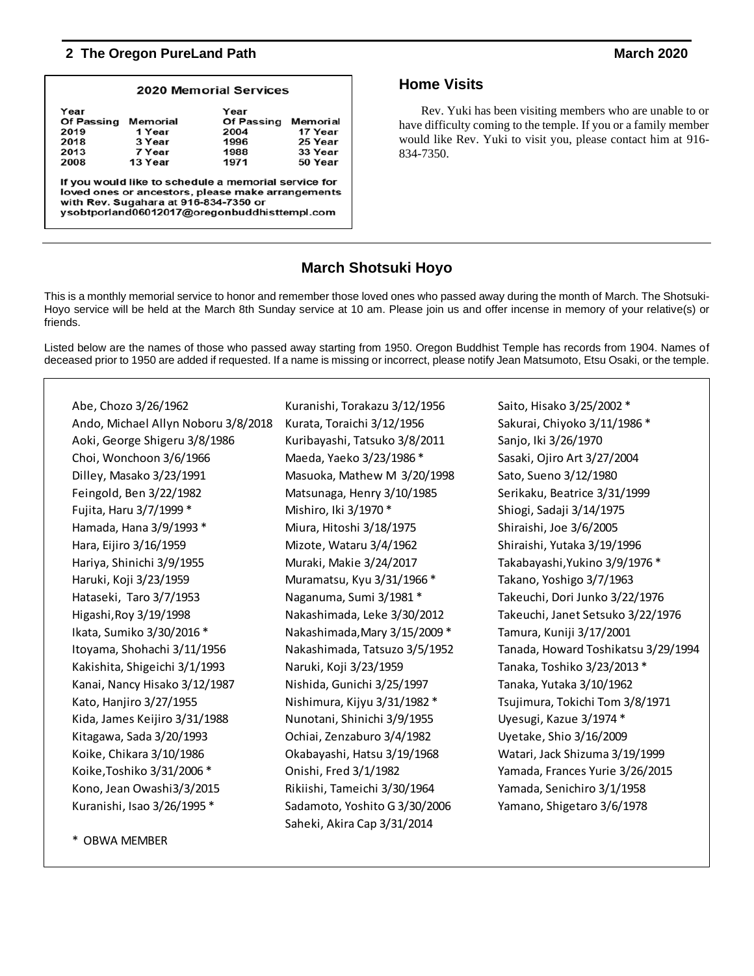|                                                                                                                                                                                                    |                                                   | <b>2020 Memorial Services</b>                             |                                                      |  |  |  |  |  |
|----------------------------------------------------------------------------------------------------------------------------------------------------------------------------------------------------|---------------------------------------------------|-----------------------------------------------------------|------------------------------------------------------|--|--|--|--|--|
| Year<br><b>Of Passing</b><br>2019<br>2018<br>2013<br>2008                                                                                                                                          | Memorial<br>1 Year<br>3 Year<br>7 Year<br>13 Year | Year<br><b>Of Passing</b><br>2004<br>1996<br>1988<br>1971 | Memorial<br>17 Year<br>25 Year<br>33 Year<br>50 Year |  |  |  |  |  |
| If you would like to schedule a memorial service for<br>loved ones or ancestors, please make arrangements<br>with Rev. Sugahara at 916-834-7350 or<br>vsobtporland06012017@oregonbuddhisttempl.com |                                                   |                                                           |                                                      |  |  |  |  |  |

## **Home Visits**

Rev. Yuki has been visiting members who are unable to or have difficulty coming to the temple. If you or a family member would like Rev. Yuki to visit you, please contact him at 916- 834-7350.

# **March Shotsuki Hoyo**

This is a monthly memorial service to honor and remember those loved ones who passed away during the month of March. The Shotsuki-Hoyo service will be held at the March 8th Sunday service at 10 am. Please join us and offer incense in memory of your relative(s) or friends.

Listed below are the names of those who passed away starting from 1950. Oregon Buddhist Temple has records from 1904. Names of deceased prior to 1950 are added if requested. If a name is missing or incorrect, please notify Jean Matsumoto, Etsu Osaki, or the temple.

| Abe, Chozo 3/26/1962                | Kuranishi, Torakazu 3/12/1956 | Saito, Hisako 3/25/2002 *           |
|-------------------------------------|-------------------------------|-------------------------------------|
| Ando, Michael Allyn Noboru 3/8/2018 | Kurata, Toraichi 3/12/1956    | Sakurai, Chiyoko 3/11/1986 *        |
| Aoki, George Shigeru 3/8/1986       | Kuribayashi, Tatsuko 3/8/2011 | Sanjo, Iki 3/26/1970                |
| Choi, Wonchoon 3/6/1966             | Maeda, Yaeko 3/23/1986 *      | Sasaki, Ojiro Art 3/27/2004         |
| Dilley, Masako 3/23/1991            | Masuoka, Mathew M 3/20/1998   | Sato, Sueno 3/12/1980               |
| Feingold, Ben 3/22/1982             | Matsunaga, Henry 3/10/1985    | Serikaku, Beatrice 3/31/1999        |
| Fujita, Haru 3/7/1999 *             | Mishiro, Iki 3/1970 *         | Shiogi, Sadaji 3/14/1975            |
| Hamada, Hana 3/9/1993 *             | Miura, Hitoshi 3/18/1975      | Shiraishi, Joe 3/6/2005             |
| Hara, Eijiro 3/16/1959              | Mizote, Wataru 3/4/1962       | Shiraishi, Yutaka 3/19/1996         |
| Hariya, Shinichi 3/9/1955           | Muraki, Makie 3/24/2017       | Takabayashi, Yukino 3/9/1976 *      |
| Haruki, Koji 3/23/1959              | Muramatsu, Kyu 3/31/1966 *    | Takano, Yoshigo 3/7/1963            |
| Hataseki, Taro 3/7/1953             | Naganuma, Sumi 3/1981*        | Takeuchi, Dori Junko 3/22/1976      |
| Higashi, Roy 3/19/1998              | Nakashimada, Leke 3/30/2012   | Takeuchi, Janet Setsuko 3/22/1976   |
| Ikata, Sumiko 3/30/2016 *           | Nakashimada, Mary 3/15/2009 * | Tamura, Kuniji 3/17/2001            |
| Itoyama, Shohachi 3/11/1956         | Nakashimada, Tatsuzo 3/5/1952 | Tanada, Howard Toshikatsu 3/29/1994 |
| Kakishita, Shigeichi 3/1/1993       | Naruki, Koji 3/23/1959        | Tanaka, Toshiko 3/23/2013 *         |
| Kanai, Nancy Hisako 3/12/1987       | Nishida, Gunichi 3/25/1997    | Tanaka, Yutaka 3/10/1962            |
| Kato, Hanjiro 3/27/1955             | Nishimura, Kijyu 3/31/1982 *  | Tsujimura, Tokichi Tom 3/8/1971     |
| Kida, James Keijiro 3/31/1988       | Nunotani, Shinichi 3/9/1955   | Uyesugi, Kazue 3/1974*              |
| Kitagawa, Sada 3/20/1993            | Ochiai, Zenzaburo 3/4/1982    | Uyetake, Shio 3/16/2009             |
| Koike, Chikara 3/10/1986            | Okabayashi, Hatsu 3/19/1968   | Watari, Jack Shizuma 3/19/1999      |
| Koike, Toshiko 3/31/2006 *          | Onishi, Fred 3/1/1982         | Yamada, Frances Yurie 3/26/2015     |
| Kono, Jean Owashi3/3/2015           | Rikiishi, Tameichi 3/30/1964  | Yamada, Senichiro 3/1/1958          |
| Kuranishi, Isao 3/26/1995 *         | Sadamoto, Yoshito G 3/30/2006 | Yamano, Shigetaro 3/6/1978          |
|                                     | Saheki, Akira Cap 3/31/2014   |                                     |
|                                     |                               |                                     |

\* OBWA MEMBER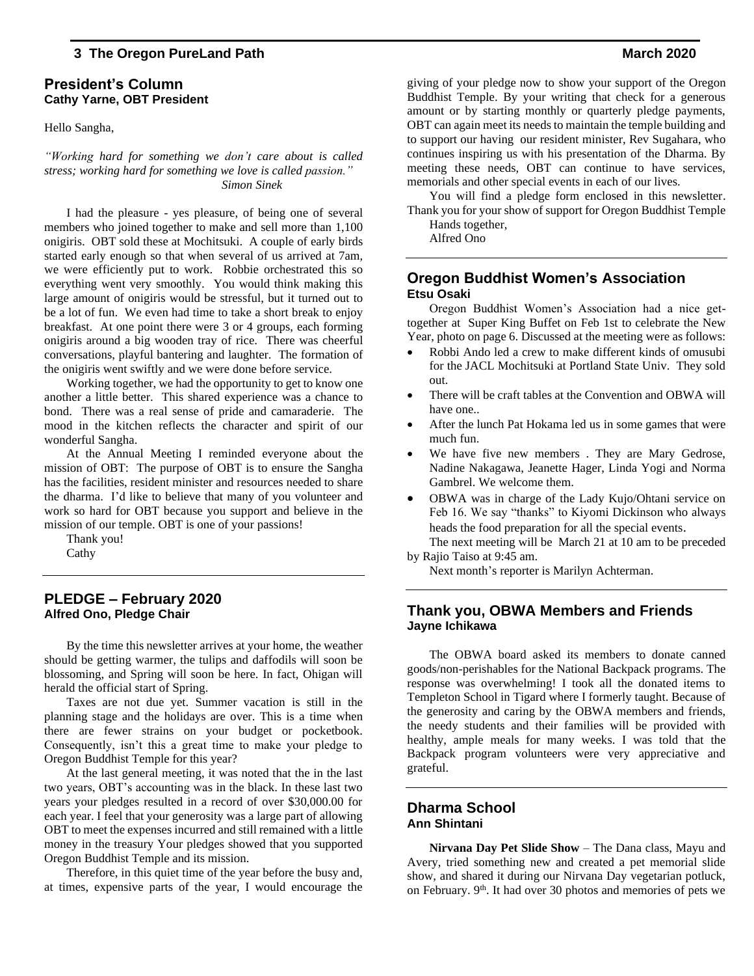#### **President's Column Cathy Yarne, OBT President**

Hello Sangha,

*"Working hard for something we don't care about is called stress; working hard for something we love is called passion." Simon Sinek*

I had the pleasure - yes pleasure, of being one of several members who joined together to make and sell more than 1,100 onigiris. OBT sold these at Mochitsuki. A couple of early birds started early enough so that when several of us arrived at 7am, we were efficiently put to work. Robbie orchestrated this so everything went very smoothly. You would think making this large amount of onigiris would be stressful, but it turned out to be a lot of fun. We even had time to take a short break to enjoy breakfast. At one point there were 3 or 4 groups, each forming onigiris around a big wooden tray of rice. There was cheerful conversations, playful bantering and laughter. The formation of the onigiris went swiftly and we were done before service.

Working together, we had the opportunity to get to know one another a little better. This shared experience was a chance to bond. There was a real sense of pride and camaraderie. The mood in the kitchen reflects the character and spirit of our wonderful Sangha.

At the Annual Meeting I reminded everyone about the mission of OBT: The purpose of OBT is to ensure the Sangha has the facilities, resident minister and resources needed to share the dharma. I'd like to believe that many of you volunteer and work so hard for OBT because you support and believe in the mission of our temple. OBT is one of your passions!

Thank you! Cathy

#### **PLEDGE – February 2020 Alfred Ono, Pledge Chair**

By the time this newsletter arrives at your home, the weather should be getting warmer, the tulips and daffodils will soon be blossoming, and Spring will soon be here. In fact, Ohigan will herald the official start of Spring.

Taxes are not due yet. Summer vacation is still in the planning stage and the holidays are over. This is a time when there are fewer strains on your budget or pocketbook. Consequently, isn't this a great time to make your pledge to Oregon Buddhist Temple for this year?

At the last general meeting, it was noted that the in the last two years, OBT's accounting was in the black. In these last two years your pledges resulted in a record of over \$30,000.00 for each year. I feel that your generosity was a large part of allowing OBT to meet the expenses incurred and still remained with a little money in the treasury Your pledges showed that you supported Oregon Buddhist Temple and its mission.

Therefore, in this quiet time of the year before the busy and, at times, expensive parts of the year, I would encourage the giving of your pledge now to show your support of the Oregon Buddhist Temple. By your writing that check for a generous amount or by starting monthly or quarterly pledge payments, OBT can again meet its needs to maintain the temple building and to support our having our resident minister, Rev Sugahara, who continues inspiring us with his presentation of the Dharma. By meeting these needs, OBT can continue to have services, memorials and other special events in each of our lives.

You will find a pledge form enclosed in this newsletter. Thank you for your show of support for Oregon Buddhist Temple Hands together,

Alfred Ono

#### **Oregon Buddhist Women's Association Etsu Osaki**

Oregon Buddhist Women's Association had a nice gettogether at Super King Buffet on Feb 1st to celebrate the New Year, photo on page 6. Discussed at the meeting were as follows:

- Robbi Ando led a crew to make different kinds of omusubi for the JACL Mochitsuki at Portland State Univ. They sold out.
- There will be craft tables at the Convention and OBWA will have one..
- After the lunch Pat Hokama led us in some games that were much fun.
- We have five new members . They are Mary Gedrose, Nadine Nakagawa, Jeanette Hager, Linda Yogi and Norma Gambrel. We welcome them.
- OBWA was in charge of the Lady Kujo/Ohtani service on Feb 16. We say "thanks" to Kiyomi Dickinson who always heads the food preparation for all the special events.

The next meeting will be March 21 at 10 am to be preceded by Rajio Taiso at 9:45 am.

Next month's reporter is Marilyn Achterman.

### **Thank you, OBWA Members and Friends Jayne Ichikawa**

The OBWA board asked its members to donate canned goods/non-perishables for the National Backpack programs. The response was overwhelming! I took all the donated items to Templeton School in Tigard where I formerly taught. Because of the generosity and caring by the OBWA members and friends, the needy students and their families will be provided with healthy, ample meals for many weeks. I was told that the Backpack program volunteers were very appreciative and grateful.

#### **Dharma School Ann Shintani**

**Nirvana Day Pet Slide Show** – The Dana class, Mayu and Avery, tried something new and created a pet memorial slide show, and shared it during our Nirvana Day vegetarian potluck, on February. 9<sup>th</sup>. It had over 30 photos and memories of pets we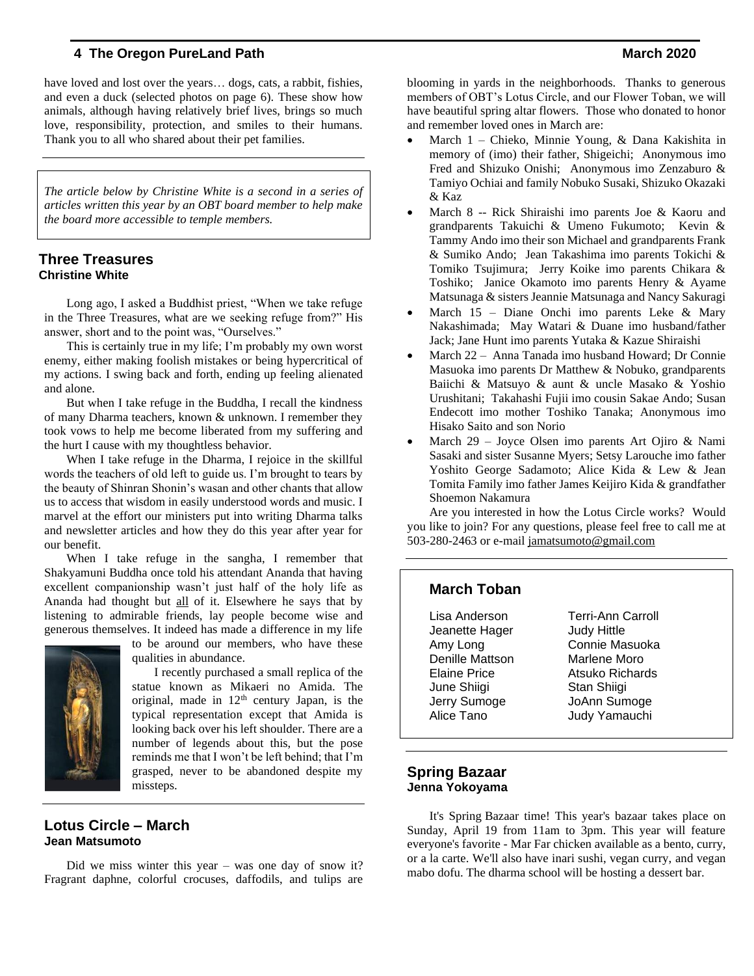have loved and lost over the years... dogs, cats, a rabbit, fishies, and even a duck (selected photos on page 6). These show how animals, although having relatively brief lives, brings so much love, responsibility, protection, and smiles to their humans. Thank you to all who shared about their pet families.

*The article below by Christine White is a second in a series of articles written this year by an OBT board member to help make the board more accessible to temple members.*

#### **Three Treasures Christine White**

Long ago, I asked a Buddhist priest, "When we take refuge in the Three Treasures, what are we seeking refuge from?" His answer, short and to the point was, "Ourselves."

This is certainly true in my life; I'm probably my own worst enemy, either making foolish mistakes or being hypercritical of my actions. I swing back and forth, ending up feeling alienated and alone.

But when I take refuge in the Buddha, I recall the kindness of many Dharma teachers, known & unknown. I remember they took vows to help me become liberated from my suffering and the hurt I cause with my thoughtless behavior.

When I take refuge in the Dharma, I rejoice in the skillful words the teachers of old left to guide us. I'm brought to tears by the beauty of Shinran Shonin's wasan and other chants that allow us to access that wisdom in easily understood words and music. I marvel at the effort our ministers put into writing Dharma talks and newsletter articles and how they do this year after year for our benefit.

When I take refuge in the sangha, I remember that Shakyamuni Buddha once told his attendant Ananda that having excellent companionship wasn't just half of the holy life as Ananda had thought but all of it. Elsewhere he says that by listening to admirable friends, lay people become wise and generous themselves. It indeed has made a difference in my life



to be around our members, who have these qualities in abundance.

I recently purchased a small replica of the statue known as Mikaeri no Amida. The original, made in  $12<sup>th</sup>$  century Japan, is the typical representation except that Amida is looking back over his left shoulder. There are a number of legends about this, but the pose reminds me that I won't be left behind; that I'm grasped, never to be abandoned despite my missteps.

#### **Lotus Circle – March Jean Matsumoto**

Did we miss winter this year – was one day of snow it? Fragrant daphne, colorful crocuses, daffodils, and tulips are blooming in yards in the neighborhoods. Thanks to generous members of OBT's Lotus Circle, and our Flower Toban, we will have beautiful spring altar flowers. Those who donated to honor and remember loved ones in March are:

- March 1 Chieko, Minnie Young, & Dana Kakishita in memory of (imo) their father, Shigeichi; Anonymous imo Fred and Shizuko Onishi; Anonymous imo Zenzaburo & Tamiyo Ochiai and family Nobuko Susaki, Shizuko Okazaki & Kaz
- March 8 -- Rick Shiraishi imo parents Joe & Kaoru and grandparents Takuichi & Umeno Fukumoto; Kevin & Tammy Ando imo their son Michael and grandparents Frank & Sumiko Ando; Jean Takashima imo parents Tokichi & Tomiko Tsujimura; Jerry Koike imo parents Chikara & Toshiko; Janice Okamoto imo parents Henry & Ayame Matsunaga & sisters Jeannie Matsunaga and Nancy Sakuragi
- March  $15$  Diane Onchi imo parents Leke & Mary Nakashimada; May Watari & Duane imo husband/father Jack; Jane Hunt imo parents Yutaka & Kazue Shiraishi
- March 22 Anna Tanada imo husband Howard; Dr Connie Masuoka imo parents Dr Matthew & Nobuko, grandparents Baiichi & Matsuyo & aunt & uncle Masako & Yoshio Urushitani; Takahashi Fujii imo cousin Sakae Ando; Susan Endecott imo mother Toshiko Tanaka; Anonymous imo Hisako Saito and son Norio
- March 29 Joyce Olsen imo parents Art Ojiro & Nami Sasaki and sister Susanne Myers; Setsy Larouche imo father Yoshito George Sadamoto; Alice Kida & Lew & Jean Tomita Family imo father James Keijiro Kida & grandfather Shoemon Nakamura

Are you interested in how the Lotus Circle works? Would you like to join? For any questions, please feel free to call me at 503-280-2463 or e-mail [jamatsumoto@gmail.com](mailto:jamatsumoto@gmail.com)

## **March Toban**

Lisa Anderson Terri-Ann Carroll Jeanette Hager Judy Hittle Denille Mattson Marlene Moro June Shiigi **Stan Shiigi** Jerry Sumoge JoAnn Sumoge

Amy Long Connie Masuoka Elaine Price Atsuko Richards Alice Tano Judy Yamauchi

#### **Spring Bazaar Jenna Yokoyama**

It's Spring Bazaar time! This year's bazaar takes place on Sunday, April 19 from 11am to 3pm. This year will feature everyone's favorite - Mar Far chicken available as a bento, curry, or a la carte. We'll also have inari sushi, vegan curry, and vegan mabo dofu. The dharma school will be hosting a dessert bar.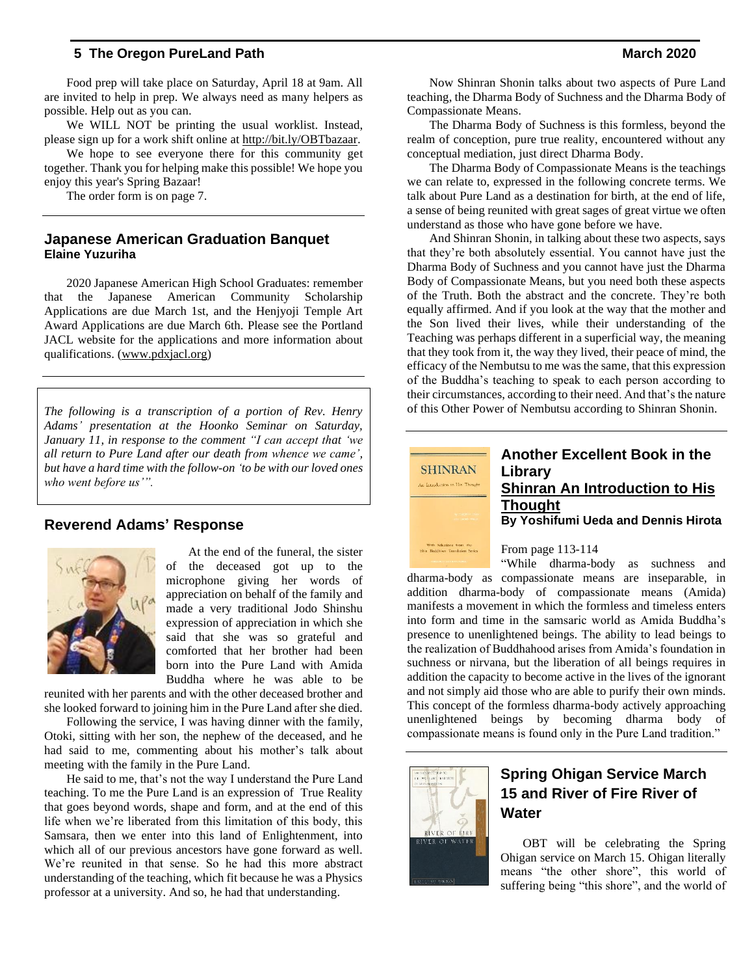Food prep will take place on Saturday, April 18 at 9am. All are invited to help in prep. We always need as many helpers as possible. Help out as you can.

We WILL NOT be printing the usual worklist. Instead, please sign up for a work shift online at [http://bit.ly/OBTbazaar.](http://bit.ly/OBTbazaar)

We hope to see everyone there for this community get together. Thank you for helping make this possible! We hope you enjoy this year's Spring Bazaar!

The order form is on page 7.

#### **Japanese American Graduation Banquet Elaine Yuzuriha**

2020 Japanese American High School Graduates: remember that the Japanese American Community Scholarship Applications are due March 1st, and the Henjyoji Temple Art Award Applications are due March 6th. Please see the Portland JACL website for the applications and more information about qualifications. [\(www.pdxjacl.org\)](http://www.pdxjacl.org/)

*The following is a transcription of a portion of Rev. Henry Adams' presentation at the Hoonko Seminar on Saturday, January 11, in response to the comment "I can accept that 'we all return to Pure Land after our death from whence we came', but have a hard time with the follow-on 'to be with our loved ones who went before us'".*

#### **Reverend Adams' Response**



At the end of the funeral, the sister of the deceased got up to the microphone giving her words of appreciation on behalf of the family and made a very traditional Jodo Shinshu expression of appreciation in which she said that she was so grateful and comforted that her brother had been born into the Pure Land with Amida Buddha where he was able to be

reunited with her parents and with the other deceased brother and she looked forward to joining him in the Pure Land after she died.

Following the service, I was having dinner with the family, Otoki, sitting with her son, the nephew of the deceased, and he had said to me, commenting about his mother's talk about meeting with the family in the Pure Land.

He said to me, that's not the way I understand the Pure Land teaching. To me the Pure Land is an expression of True Reality that goes beyond words, shape and form, and at the end of this life when we're liberated from this limitation of this body, this Samsara, then we enter into this land of Enlightenment, into which all of our previous ancestors have gone forward as well. We're reunited in that sense. So he had this more abstract understanding of the teaching, which fit because he was a Physics professor at a university. And so, he had that understanding.

Now Shinran Shonin talks about two aspects of Pure Land teaching, the Dharma Body of Suchness and the Dharma Body of Compassionate Means.

The Dharma Body of Suchness is this formless, beyond the realm of conception, pure true reality, encountered without any conceptual mediation, just direct Dharma Body.

The Dharma Body of Compassionate Means is the teachings we can relate to, expressed in the following concrete terms. We talk about Pure Land as a destination for birth, at the end of life, a sense of being reunited with great sages of great virtue we often understand as those who have gone before we have.

And Shinran Shonin, in talking about these two aspects, says that they're both absolutely essential. You cannot have just the Dharma Body of Suchness and you cannot have just the Dharma Body of Compassionate Means, but you need both these aspects of the Truth. Both the abstract and the concrete. They're both equally affirmed. And if you look at the way that the mother and the Son lived their lives, while their understanding of the Teaching was perhaps different in a superficial way, the meaning that they took from it, the way they lived, their peace of mind, the efficacy of the Nembutsu to me was the same, that this expression of the Buddha's teaching to speak to each person according to their circumstances, according to their need. And that's the nature of this Other Power of Nembutsu according to Shinran Shonin.

![](_page_4_Picture_19.jpeg)

## **Another Excellent Book in the Library Shinran An Introduction to His Thought By Yoshifumi Ueda and Dennis Hirota**

From page 113-114

"While dharma-body as suchness and dharma-body as compassionate means are inseparable, in addition dharma-body of compassionate means (Amida) manifests a movement in which the formless and timeless enters into form and time in the samsaric world as Amida Buddha's presence to unenlightened beings. The ability to lead beings to the realization of Buddhahood arises from Amida's foundation in suchness or nirvana, but the liberation of all beings requires in addition the capacity to become active in the lives of the ignorant and not simply aid those who are able to purify their own minds. This concept of the formless dharma-body actively approaching unenlightened beings by becoming dharma body of compassionate means is found only in the Pure Land tradition."

![](_page_4_Picture_23.jpeg)

# **Spring Ohigan Service March 15 and River of Fire River of Water**

OBT will be celebrating the Spring Ohigan service on March 15. Ohigan literally means "the other shore", this world of suffering being "this shore", and the world of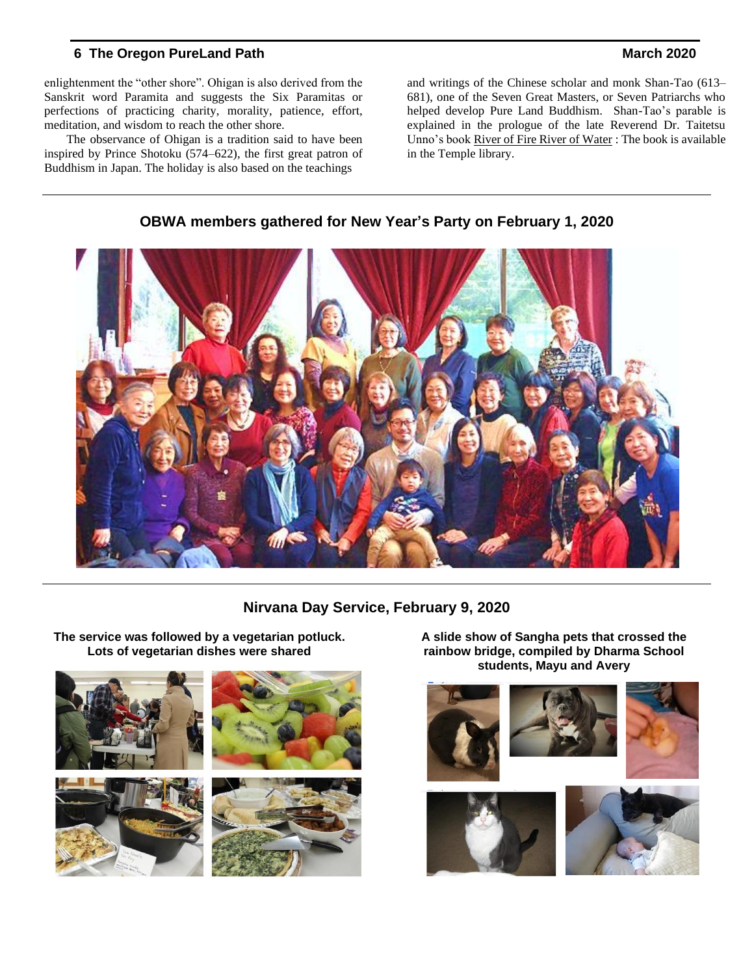enlightenment the "other shore". Ohigan is also derived from the Sanskrit word Paramita and suggests the Six Paramitas or perfections of practicing charity, morality, patience, effort, meditation, and wisdom to reach the other shore.

The observance of Ohigan is a tradition said to have been inspired by Prince Shotoku (574–622), the first great patron of Buddhism in Japan. The holiday is also based on the teachings

and writings of the Chinese scholar and monk Shan-Tao (613– 681), one of the Seven Great Masters, or Seven Patriarchs who helped develop Pure Land Buddhism. Shan-Tao's parable is explained in the prologue of the late Reverend Dr. Taitetsu Unno's book River of Fire River of Water : The book is available in the Temple library.

![](_page_5_Picture_5.jpeg)

## **OBWA members gathered for New Year's Party on February 1, 2020**

## **Nirvana Day Service, February 9, 2020**

![](_page_5_Picture_8.jpeg)

**The service was followed by a vegetarian potluck. Lots of vegetarian dishes were shared**

**A slide show of Sangha pets that crossed the rainbow bridge, compiled by Dharma School students, Mayu and Avery**

![](_page_5_Picture_11.jpeg)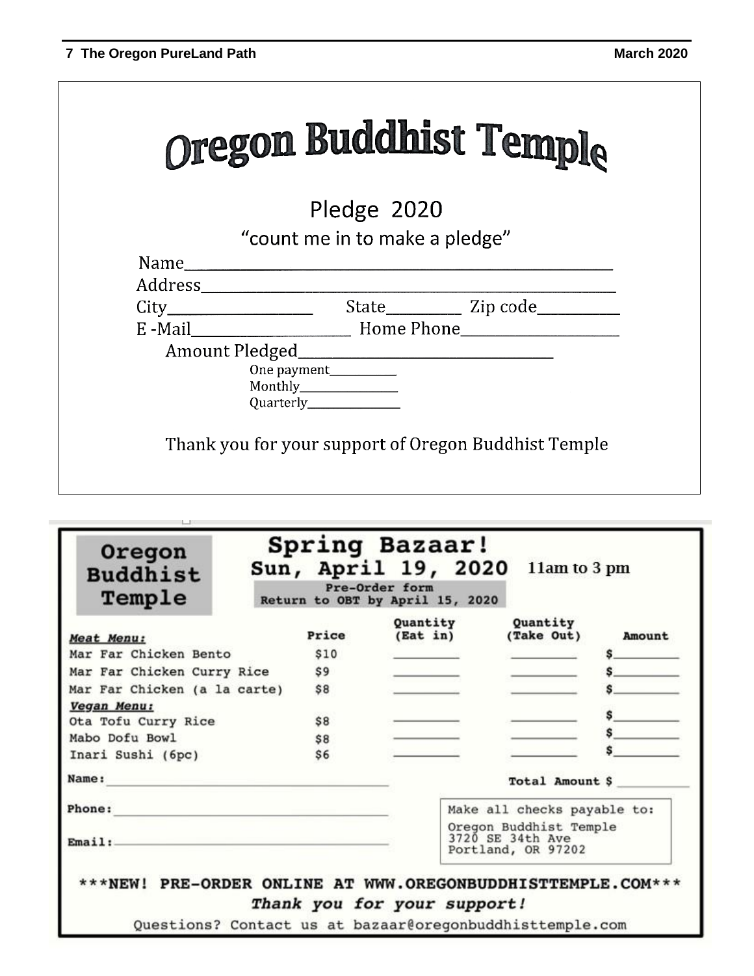ı

|                                | Oregon Buddhist Temple |
|--------------------------------|------------------------|
| Pledge 2020                    |                        |
| "count me in to make a pledge" |                        |
|                                |                        |
|                                |                        |
|                                |                        |
|                                |                        |
|                                |                        |
| One payment___________         |                        |
| Monthly_______________         |                        |
|                                |                        |

| <b>Buddhist</b><br>Temple    |                | Sun, April 19, 2020<br>Pre-Order form<br>Return to OBT by April 15, 2020 | 11am to 3 pm                |        |
|------------------------------|----------------|--------------------------------------------------------------------------|-----------------------------|--------|
| Meat Menu:                   | Price          | Ouantity<br>$($ Eat in $)$                                               | Quantity<br>(Take Out)      | Amount |
| Mar Far Chicken Bento        | \$10           |                                                                          |                             |        |
| Mar Far Chicken Curry Rice   | S <sub>9</sub> |                                                                          |                             |        |
| Mar Far Chicken (a la carte) | \$8            |                                                                          |                             |        |
| Vegan Menu:                  |                |                                                                          |                             |        |
| Ota Tofu Curry Rice          | \$8            |                                                                          |                             |        |
| Mabo Dofu Bowl               | \$8            |                                                                          |                             |        |
| Inari Sushi (6pc)            | \$6            |                                                                          |                             |        |
| Name:                        |                |                                                                          | Total Amount \$             |        |
| Phone:                       |                |                                                                          | Make all checks payable to: |        |
| Email:                       |                | Oregon Buddhist Temple<br>3720 SE 34th Ave<br>Portland, OR 97202         |                             |        |

Questions? Contact us at bazaar@oregonbuddhisttemple.com